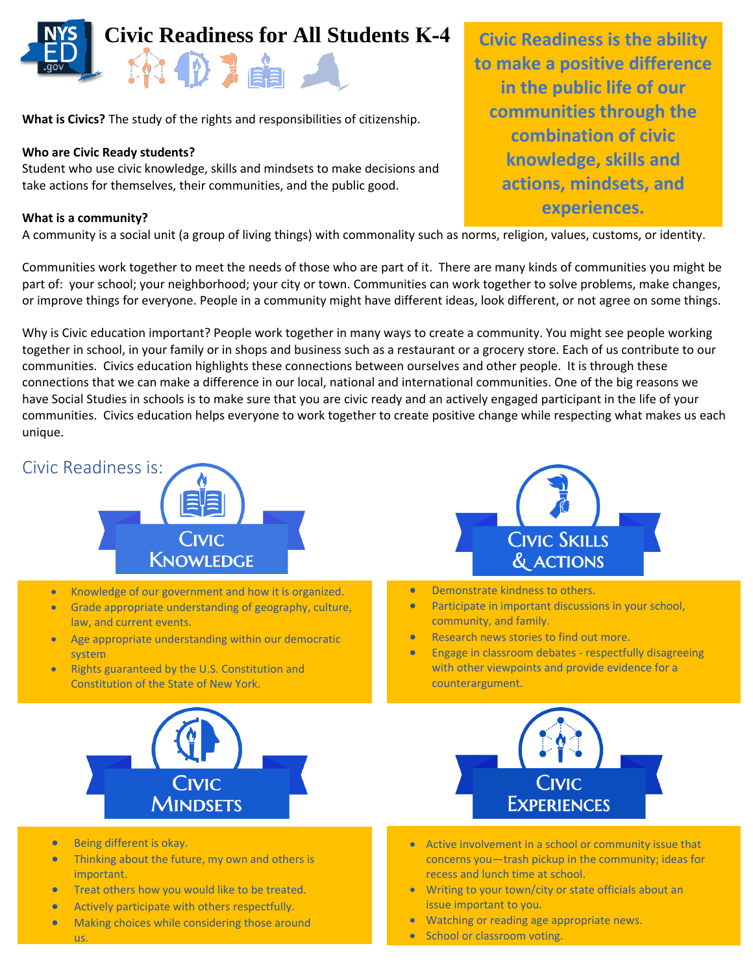

**What is Civics?** The study of the rights and responsibilities of citizenship.

### **Who are Civic Ready students?**

Student who use civic knowledge, skills and mindsets to make decisions and take actions for themselves, their communities, and the public good.

#### **What is a community?**

A community is a social unit (a group of living things) with commonality such as norms, religion, values, customs, or identity.

Communities work together to meet the needs of those who are part of it. There are many kinds of communities you might be part of: your school; your neighborhood; your city or town. Communities can work together to solve problems, make changes, or improve things for everyone. People in a community might have different ideas, look different, or not agree on some things.

Why is Civic education important? People work together in many ways to create a community. You might see people working together in school, in your family or in shops and business such as a restaurant or a grocery store. Each of us contribute to our communities. Civics education highlights these connections between ourselves and other people. It is through these connections that we can make a difference in our local, national and international communities. One of the big reasons we have Social Studies in schools is to make sure that you are civic ready and an actively engaged participant in the life of your communities. Civics education helps everyone to work together to create positive change while respecting what makes us each unique.



- Thinking about the future, my own and others is important.
- **•** Treat others how you would like to be treated.
- Actively participate with others respectfully.
- Making choices while considering those around us.

**Civic Readiness is the ability to make a positive difference in the public life of our communities through the combination of civic knowledge, skills and actions, mindsets, and experiences.** 

- concerns you—trash pickup in the community; ideas for recess and lunch time at school.
- Writing to your town/city or state officials about an issue important to you.
- Watching or reading age appropriate news.
- School or classroom voting.